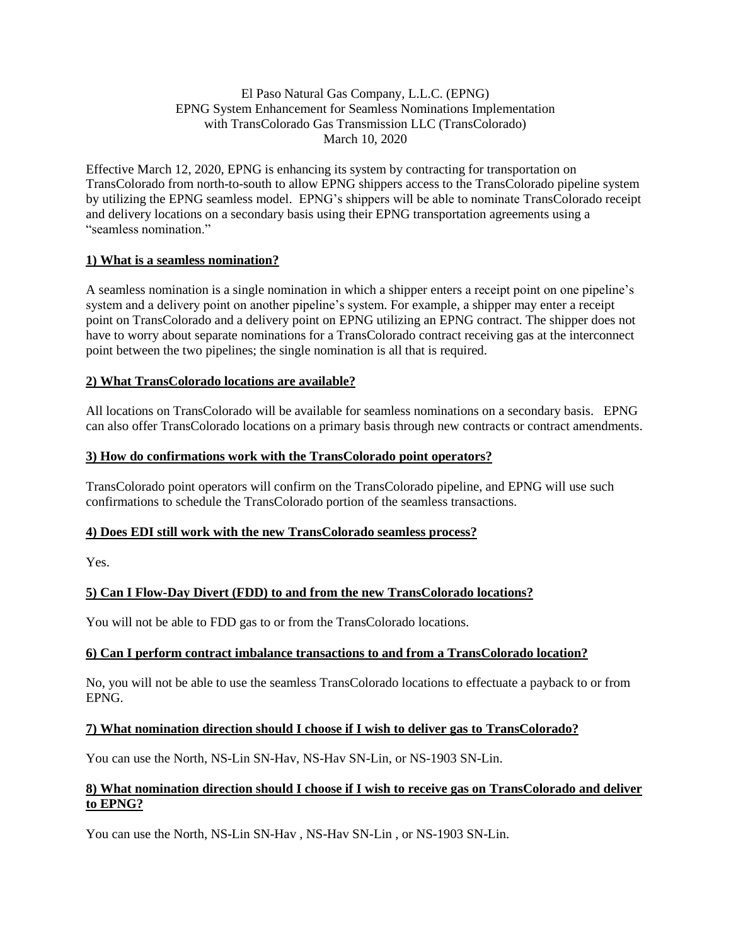## El Paso Natural Gas Company, L.L.C. (EPNG) EPNG System Enhancement for Seamless Nominations Implementation with TransColorado Gas Transmission LLC (TransColorado) March 10, 2020

Effective March 12, 2020, EPNG is enhancing its system by contracting for transportation on TransColorado from north-to-south to allow EPNG shippers access to the TransColorado pipeline system by utilizing the EPNG seamless model. EPNG's shippers will be able to nominate TransColorado receipt and delivery locations on a secondary basis using their EPNG transportation agreements using a "seamless nomination."

# **1) What is a seamless nomination?**

A seamless nomination is a single nomination in which a shipper enters a receipt point on one pipeline's system and a delivery point on another pipeline's system. For example, a shipper may enter a receipt point on TransColorado and a delivery point on EPNG utilizing an EPNG contract. The shipper does not have to worry about separate nominations for a TransColorado contract receiving gas at the interconnect point between the two pipelines; the single nomination is all that is required.

## **2) What TransColorado locations are available?**

All locations on TransColorado will be available for seamless nominations on a secondary basis. EPNG can also offer TransColorado locations on a primary basis through new contracts or contract amendments.

## **3) How do confirmations work with the TransColorado point operators?**

TransColorado point operators will confirm on the TransColorado pipeline, and EPNG will use such confirmations to schedule the TransColorado portion of the seamless transactions.

### **4) Does EDI still work with the new TransColorado seamless process?**

Yes.

# **5) Can I Flow-Day Divert (FDD) to and from the new TransColorado locations?**

You will not be able to FDD gas to or from the TransColorado locations.

### **6) Can I perform contract imbalance transactions to and from a TransColorado location?**

No, you will not be able to use the seamless TransColorado locations to effectuate a payback to or from EPNG.

## **7) What nomination direction should I choose if I wish to deliver gas to TransColorado?**

You can use the North, NS-Lin SN-Hav, NS-Hav SN-Lin, or NS-1903 SN-Lin.

### **8) What nomination direction should I choose if I wish to receive gas on TransColorado and deliver to EPNG?**

You can use the North, NS-Lin SN-Hav , NS-Hav SN-Lin , or NS-1903 SN-Lin.